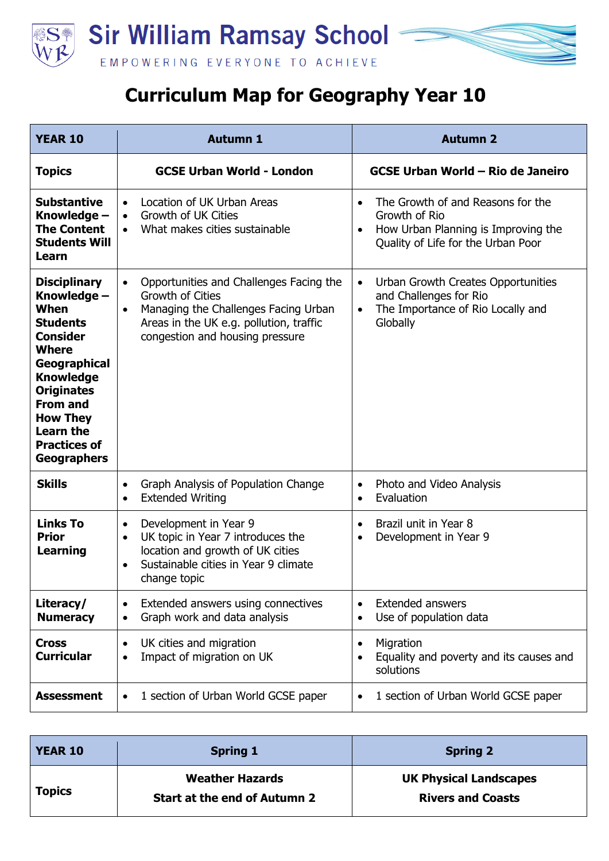

## **Curriculum Map for Geography Year 10**

| <b>YEAR 10</b>                                                                                                                                                                                                                                                   | <b>Autumn 1</b>                                                                                                                                                                                             | <b>Autumn 2</b>                                                                                                                              |
|------------------------------------------------------------------------------------------------------------------------------------------------------------------------------------------------------------------------------------------------------------------|-------------------------------------------------------------------------------------------------------------------------------------------------------------------------------------------------------------|----------------------------------------------------------------------------------------------------------------------------------------------|
| <b>Topics</b>                                                                                                                                                                                                                                                    | <b>GCSE Urban World - London</b>                                                                                                                                                                            | <b>GCSE Urban World - Rio de Janeiro</b>                                                                                                     |
| <b>Substantive</b><br>Knowledge -<br><b>The Content</b><br><b>Students Will</b><br>Learn                                                                                                                                                                         | Location of UK Urban Areas<br>$\bullet$<br>Growth of UK Cities<br>$\bullet$<br>What makes cities sustainable<br>$\bullet$                                                                                   | The Growth of and Reasons for the<br>Growth of Rio<br>How Urban Planning is Improving the<br>$\bullet$<br>Quality of Life for the Urban Poor |
| <b>Disciplinary</b><br>Knowledge -<br>When<br><b>Students</b><br><b>Consider</b><br><b>Where</b><br>Geographical<br><b>Knowledge</b><br><b>Originates</b><br><b>From and</b><br><b>How They</b><br><b>Learn the</b><br><b>Practices of</b><br><b>Geographers</b> | Opportunities and Challenges Facing the<br>$\bullet$<br>Growth of Cities<br>Managing the Challenges Facing Urban<br>$\bullet$<br>Areas in the UK e.g. pollution, traffic<br>congestion and housing pressure | Urban Growth Creates Opportunities<br>$\bullet$<br>and Challenges for Rio<br>The Importance of Rio Locally and<br>$\bullet$<br>Globally      |
| <b>Skills</b>                                                                                                                                                                                                                                                    | Graph Analysis of Population Change<br>$\bullet$<br><b>Extended Writing</b><br>$\bullet$                                                                                                                    | Photo and Video Analysis<br>$\bullet$<br>Evaluation                                                                                          |
| <b>Links To</b><br><b>Prior</b><br><b>Learning</b>                                                                                                                                                                                                               | Development in Year 9<br>$\bullet$<br>UK topic in Year 7 introduces the<br>$\bullet$<br>location and growth of UK cities<br>Sustainable cities in Year 9 climate<br>$\bullet$<br>change topic               | Brazil unit in Year 8<br>Development in Year 9<br>$\bullet$                                                                                  |
| Literacy/<br><b>Numeracy</b>                                                                                                                                                                                                                                     | Extended answers using connectives<br>$\bullet$<br>Graph work and data analysis<br>$\bullet$                                                                                                                | <b>Extended answers</b><br>Use of population data                                                                                            |
| <b>Cross</b><br><b>Curricular</b>                                                                                                                                                                                                                                | UK cities and migration<br>$\bullet$<br>Impact of migration on UK<br>$\bullet$                                                                                                                              | Migration<br>$\bullet$<br>Equality and poverty and its causes and<br>solutions                                                               |
| <b>Assessment</b>                                                                                                                                                                                                                                                | 1 section of Urban World GCSE paper<br>$\bullet$                                                                                                                                                            | 1 section of Urban World GCSE paper                                                                                                          |

| <b>YEAR 10</b> | <b>Spring 1</b>                                               | <b>Spring 2</b>                                           |
|----------------|---------------------------------------------------------------|-----------------------------------------------------------|
| <b>Topics</b>  | <b>Weather Hazards</b><br><b>Start at the end of Autumn 2</b> | <b>UK Physical Landscapes</b><br><b>Rivers and Coasts</b> |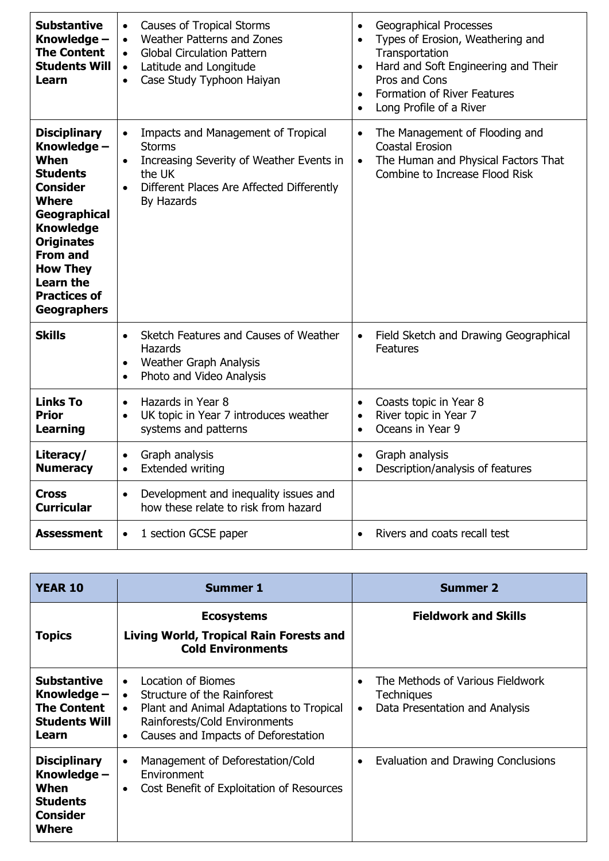| <b>Substantive</b><br>Knowledge -<br><b>The Content</b><br><b>Students Will</b><br>Learn                                                                                                                                                                         | <b>Causes of Tropical Storms</b><br>$\bullet$<br>Weather Patterns and Zones<br>$\bullet$<br><b>Global Circulation Pattern</b><br>$\bullet$<br>Latitude and Longitude<br>$\bullet$<br>Case Study Typhoon Haiyan<br>$\bullet$ | <b>Geographical Processes</b><br>$\bullet$<br>Types of Erosion, Weathering and<br>$\bullet$<br>Transportation<br>Hard and Soft Engineering and Their<br>$\bullet$<br>Pros and Cons<br><b>Formation of River Features</b><br>$\bullet$<br>Long Profile of a River<br>$\bullet$ |
|------------------------------------------------------------------------------------------------------------------------------------------------------------------------------------------------------------------------------------------------------------------|-----------------------------------------------------------------------------------------------------------------------------------------------------------------------------------------------------------------------------|-------------------------------------------------------------------------------------------------------------------------------------------------------------------------------------------------------------------------------------------------------------------------------|
| <b>Disciplinary</b><br>Knowledge -<br>When<br><b>Students</b><br><b>Consider</b><br><b>Where</b><br>Geographical<br><b>Knowledge</b><br><b>Originates</b><br><b>From and</b><br><b>How They</b><br><b>Learn the</b><br><b>Practices of</b><br><b>Geographers</b> | Impacts and Management of Tropical<br>$\bullet$<br><b>Storms</b><br>Increasing Severity of Weather Events in<br>$\bullet$<br>the UK<br>Different Places Are Affected Differently<br>$\bullet$<br>By Hazards                 | The Management of Flooding and<br>$\bullet$<br><b>Coastal Erosion</b><br>The Human and Physical Factors That<br>$\bullet$<br>Combine to Increase Flood Risk                                                                                                                   |
| <b>Skills</b>                                                                                                                                                                                                                                                    | Sketch Features and Causes of Weather<br>$\bullet$<br>Hazards<br><b>Weather Graph Analysis</b><br>$\bullet$<br>Photo and Video Analysis<br>$\bullet$                                                                        | Field Sketch and Drawing Geographical<br>$\bullet$<br><b>Features</b>                                                                                                                                                                                                         |
| <b>Links To</b><br><b>Prior</b><br><b>Learning</b>                                                                                                                                                                                                               | Hazards in Year 8<br>$\bullet$<br>UK topic in Year 7 introduces weather<br>$\bullet$<br>systems and patterns                                                                                                                | Coasts topic in Year 8<br>$\bullet$<br>River topic in Year 7<br>$\bullet$<br>Oceans in Year 9<br>$\bullet$                                                                                                                                                                    |
| Literacy/<br><b>Numeracy</b>                                                                                                                                                                                                                                     | Graph analysis<br>$\bullet$<br><b>Extended writing</b><br>$\bullet$                                                                                                                                                         | Graph analysis<br>$\bullet$<br>Description/analysis of features<br>$\bullet$                                                                                                                                                                                                  |
| Cross<br><b>Curricular</b>                                                                                                                                                                                                                                       | Development and inequality issues and<br>$\bullet$<br>how these relate to risk from hazard                                                                                                                                  |                                                                                                                                                                                                                                                                               |
| Assessment                                                                                                                                                                                                                                                       | 1 section GCSE paper<br>$\bullet$                                                                                                                                                                                           | Rivers and coats recall test<br>$\bullet$                                                                                                                                                                                                                                     |

| <b>YEAR 10</b>                                                                            | <b>Summer 1</b>                                                                                                                                                                                                           | <b>Summer 2</b>                                                                               |
|-------------------------------------------------------------------------------------------|---------------------------------------------------------------------------------------------------------------------------------------------------------------------------------------------------------------------------|-----------------------------------------------------------------------------------------------|
| <b>Topics</b>                                                                             | <b>Ecosystems</b><br><b>Living World, Tropical Rain Forests and</b><br><b>Cold Environments</b>                                                                                                                           | <b>Fieldwork and Skills</b>                                                                   |
| Substantive<br>Knowledge -<br><b>The Content</b><br><b>Students Will</b><br>Learn         | Location of Biomes<br>$\bullet$<br>Structure of the Rainforest<br>$\bullet$<br>Plant and Animal Adaptations to Tropical<br>$\bullet$<br>Rainforests/Cold Environments<br>Causes and Impacts of Deforestation<br>$\bullet$ | The Methods of Various Fieldwork<br>Techniques<br>Data Presentation and Analysis<br>$\bullet$ |
| <b>Disciplinary</b><br>Knowledge -<br>When<br><b>Students</b><br><b>Consider</b><br>Where | Management of Deforestation/Cold<br>$\bullet$<br>Environment<br>Cost Benefit of Exploitation of Resources<br>$\bullet$                                                                                                    | Evaluation and Drawing Conclusions<br>$\bullet$                                               |